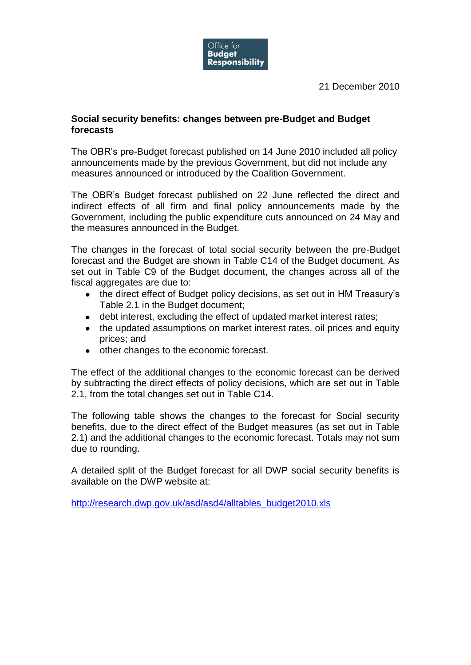

21 December 2010

## **Social security benefits: changes between pre-Budget and Budget forecasts**

The OBR's pre-Budget forecast published on 14 June 2010 included all policy announcements made by the previous Government, but did not include any measures announced or introduced by the Coalition Government.

The OBR's Budget forecast published on 22 June reflected the direct and indirect effects of all firm and final policy announcements made by the Government, including the public expenditure cuts announced on 24 May and the measures announced in the Budget.

The changes in the forecast of total social security between the pre-Budget forecast and the Budget are shown in Table C14 of the Budget document. As set out in Table C9 of the Budget document, the changes across all of the fiscal aggregates are due to:

- the direct effect of Budget policy decisions, as set out in HM Treasury's Table 2.1 in the Budget document;
- debt interest, excluding the effect of updated market interest rates;
- the updated assumptions on market interest rates, oil prices and equity prices; and
- other changes to the economic forecast.

The effect of the additional changes to the economic forecast can be derived by subtracting the direct effects of policy decisions, which are set out in Table 2.1, from the total changes set out in Table C14.

The following table shows the changes to the forecast for Social security benefits, due to the direct effect of the Budget measures (as set out in Table 2.1) and the additional changes to the economic forecast. Totals may not sum due to rounding.

A detailed split of the Budget forecast for all DWP social security benefits is available on the DWP website at:

[http://research.dwp.gov.uk/asd/asd4/alltables\\_budget2010.xls](http://research.dwp.gov.uk/asd/asd4/alltables_budget2010.xls)